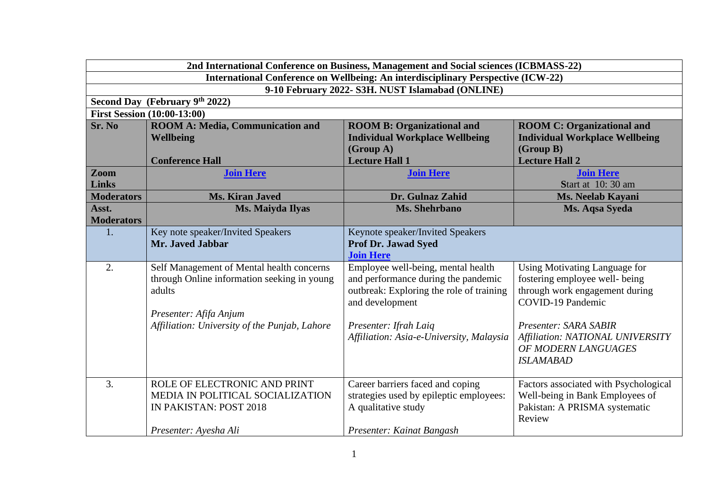| 2nd International Conference on Business, Management and Social sciences (ICBMASS-22) |                                                                                          |                                                                           |                                                                 |  |  |
|---------------------------------------------------------------------------------------|------------------------------------------------------------------------------------------|---------------------------------------------------------------------------|-----------------------------------------------------------------|--|--|
| International Conference on Wellbeing: An interdisciplinary Perspective (ICW-22)      |                                                                                          |                                                                           |                                                                 |  |  |
|                                                                                       | 9-10 February 2022- S3H. NUST Islamabad (ONLINE)                                         |                                                                           |                                                                 |  |  |
|                                                                                       | Second Day (February 9th 2022)                                                           |                                                                           |                                                                 |  |  |
|                                                                                       | <b>First Session (10:00-13:00)</b>                                                       |                                                                           |                                                                 |  |  |
| Sr. No                                                                                | <b>ROOM A: Media, Communication and</b>                                                  | <b>ROOM B: Organizational and</b>                                         | <b>ROOM C: Organizational and</b>                               |  |  |
|                                                                                       | <b>Wellbeing</b>                                                                         | <b>Individual Workplace Wellbeing</b>                                     | <b>Individual Workplace Wellbeing</b>                           |  |  |
|                                                                                       |                                                                                          | (Group A)                                                                 | (Group B)                                                       |  |  |
|                                                                                       | <b>Conference Hall</b>                                                                   | <b>Lecture Hall 1</b>                                                     | <b>Lecture Hall 2</b>                                           |  |  |
| Zoom                                                                                  | <b>Join Here</b>                                                                         | <b>Join Here</b>                                                          | <b>Join Here</b>                                                |  |  |
| <b>Links</b>                                                                          |                                                                                          |                                                                           | Start at 10:30 am                                               |  |  |
| <b>Moderators</b>                                                                     | <b>Ms. Kiran Javed</b>                                                                   | Dr. Gulnaz Zahid                                                          | Ms. Neelab Kayani                                               |  |  |
| Asst.                                                                                 | Ms. Maiyda Ilyas                                                                         | <b>Ms. Shehrbano</b>                                                      | Ms. Aqsa Syeda                                                  |  |  |
| <b>Moderators</b>                                                                     |                                                                                          |                                                                           |                                                                 |  |  |
| 1.                                                                                    | Key note speaker/Invited Speakers                                                        | Keynote speaker/Invited Speakers                                          |                                                                 |  |  |
|                                                                                       | Mr. Javed Jabbar                                                                         | <b>Prof Dr. Jawad Syed</b><br><b>Join Here</b>                            |                                                                 |  |  |
| 2.                                                                                    |                                                                                          |                                                                           |                                                                 |  |  |
|                                                                                       | Self Management of Mental health concerns<br>through Online information seeking in young | Employee well-being, mental health<br>and performance during the pandemic | Using Motivating Language for<br>fostering employee well- being |  |  |
|                                                                                       | adults                                                                                   | outbreak: Exploring the role of training                                  | through work engagement during                                  |  |  |
|                                                                                       |                                                                                          | and development                                                           | <b>COVID-19 Pandemic</b>                                        |  |  |
|                                                                                       | Presenter: Afifa Anjum                                                                   |                                                                           |                                                                 |  |  |
|                                                                                       | Affiliation: University of the Punjab, Lahore                                            | Presenter: Ifrah Laiq                                                     | Presenter: SARA SABIR                                           |  |  |
|                                                                                       |                                                                                          | Affiliation: Asia-e-University, Malaysia                                  | Affiliation: NATIONAL UNIVERSITY                                |  |  |
|                                                                                       |                                                                                          |                                                                           | OF MODERN LANGUAGES                                             |  |  |
|                                                                                       |                                                                                          |                                                                           | <b>ISLAMABAD</b>                                                |  |  |
|                                                                                       |                                                                                          |                                                                           |                                                                 |  |  |
| 3.                                                                                    | ROLE OF ELECTRONIC AND PRINT                                                             | Career barriers faced and coping                                          | Factors associated with Psychological                           |  |  |
|                                                                                       | MEDIA IN POLITICAL SOCIALIZATION                                                         | strategies used by epileptic employees:                                   | Well-being in Bank Employees of                                 |  |  |
|                                                                                       | IN PAKISTAN: POST 2018                                                                   | A qualitative study                                                       | Pakistan: A PRISMA systematic                                   |  |  |
|                                                                                       |                                                                                          |                                                                           | Review                                                          |  |  |
|                                                                                       | Presenter: Ayesha Ali                                                                    | Presenter: Kainat Bangash                                                 |                                                                 |  |  |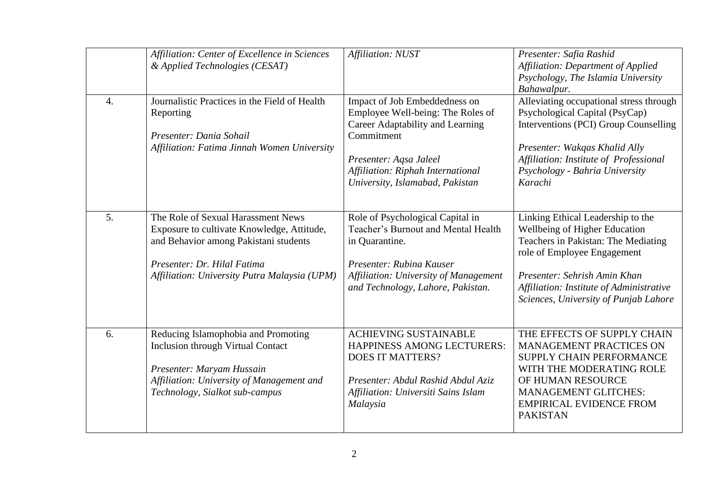|                  | Affiliation: Center of Excellence in Sciences<br>& Applied Technologies (CESAT)                                                                                                                          | Affiliation: NUST                                                                                                                                                                                                      | Presenter: Safia Rashid<br><b>Affiliation: Department of Applied</b><br>Psychology, The Islamia University<br>Bahawalpur.                                                                                                                                     |
|------------------|----------------------------------------------------------------------------------------------------------------------------------------------------------------------------------------------------------|------------------------------------------------------------------------------------------------------------------------------------------------------------------------------------------------------------------------|---------------------------------------------------------------------------------------------------------------------------------------------------------------------------------------------------------------------------------------------------------------|
| $\overline{4}$ . | Journalistic Practices in the Field of Health<br>Reporting<br>Presenter: Dania Sohail<br>Affiliation: Fatima Jinnah Women University                                                                     | Impact of Job Embeddedness on<br>Employee Well-being: The Roles of<br>Career Adaptability and Learning<br>Commitment<br>Presenter: Aqsa Jaleel<br>Affiliation: Riphah International<br>University, Islamabad, Pakistan | Alleviating occupational stress through<br>Psychological Capital (PsyCap)<br>Interventions (PCI) Group Counselling<br>Presenter: Wakqas Khalid Ally<br>Affiliation: Institute of Professional<br>Psychology - Bahria University<br>Karachi                    |
| 5.               | The Role of Sexual Harassment News<br>Exposure to cultivate Knowledge, Attitude,<br>and Behavior among Pakistani students<br>Presenter: Dr. Hilal Fatima<br>Affiliation: University Putra Malaysia (UPM) | Role of Psychological Capital in<br>Teacher's Burnout and Mental Health<br>in Quarantine.<br>Presenter: Rubina Kauser<br>Affiliation: University of Management<br>and Technology, Lahore, Pakistan.                    | Linking Ethical Leadership to the<br>Wellbeing of Higher Education<br>Teachers in Pakistan: The Mediating<br>role of Employee Engagement<br>Presenter: Sehrish Amin Khan<br>Affiliation: Institute of Administrative<br>Sciences, University of Punjab Lahore |
| 6.               | Reducing Islamophobia and Promoting<br><b>Inclusion through Virtual Contact</b><br>Presenter: Maryam Hussain<br>Affiliation: University of Management and<br>Technology, Sialkot sub-campus              | <b>ACHIEVING SUSTAINABLE</b><br>HAPPINESS AMONG LECTURERS:<br><b>DOES IT MATTERS?</b><br>Presenter: Abdul Rashid Abdul Aziz<br>Affiliation: Universiti Sains Islam<br>Malaysia                                         | THE EFFECTS OF SUPPLY CHAIN<br>MANAGEMENT PRACTICES ON<br>SUPPLY CHAIN PERFORMANCE<br>WITH THE MODERATING ROLE<br>OF HUMAN RESOURCE<br><b>MANAGEMENT GLITCHES:</b><br><b>EMPIRICAL EVIDENCE FROM</b><br><b>PAKISTAN</b>                                       |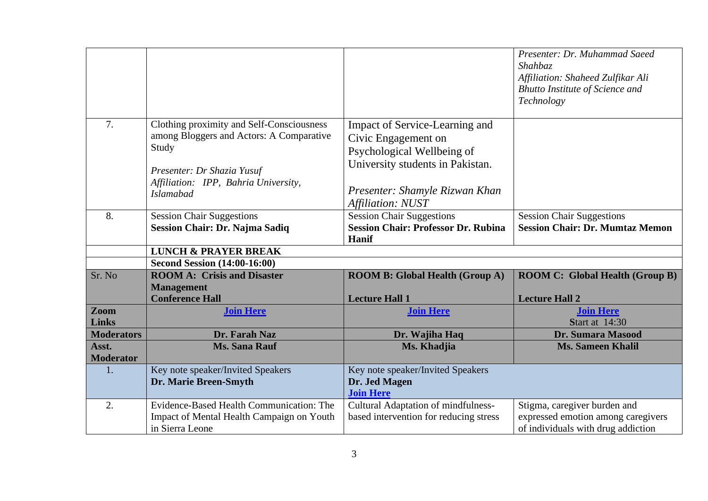|                           |                                                                                                                                                                                          |                                                                                                                                                                                | Presenter: Dr. Muhammad Saeed<br>Shahbaz<br>Affiliation: Shaheed Zulfikar Ali<br><b>Bhutto Institute of Science and</b><br>Technology |
|---------------------------|------------------------------------------------------------------------------------------------------------------------------------------------------------------------------------------|--------------------------------------------------------------------------------------------------------------------------------------------------------------------------------|---------------------------------------------------------------------------------------------------------------------------------------|
| 7.                        | Clothing proximity and Self-Consciousness<br>among Bloggers and Actors: A Comparative<br>Study<br>Presenter: Dr Shazia Yusuf<br>Affiliation: IPP, Bahria University,<br><b>Islamabad</b> | Impact of Service-Learning and<br>Civic Engagement on<br>Psychological Wellbeing of<br>University students in Pakistan.<br>Presenter: Shamyle Rizwan Khan<br>Affiliation: NUST |                                                                                                                                       |
| 8.                        | <b>Session Chair Suggestions</b><br>Session Chair: Dr. Najma Sadiq                                                                                                                       | <b>Session Chair Suggestions</b><br><b>Session Chair: Professor Dr. Rubina</b><br>Hanif                                                                                        | <b>Session Chair Suggestions</b><br><b>Session Chair: Dr. Mumtaz Memon</b>                                                            |
|                           | <b>LUNCH &amp; PRAYER BREAK</b>                                                                                                                                                          |                                                                                                                                                                                |                                                                                                                                       |
|                           | <b>Second Session (14:00-16:00)</b>                                                                                                                                                      |                                                                                                                                                                                |                                                                                                                                       |
| Sr. No                    | <b>ROOM A: Crisis and Disaster</b>                                                                                                                                                       | <b>ROOM B: Global Health (Group A)</b>                                                                                                                                         | <b>ROOM C: Global Health (Group B)</b>                                                                                                |
|                           | <b>Management</b><br><b>Conference Hall</b>                                                                                                                                              | <b>Lecture Hall 1</b>                                                                                                                                                          | <b>Lecture Hall 2</b>                                                                                                                 |
| Zoom                      | <b>Join Here</b>                                                                                                                                                                         | <b>Join Here</b>                                                                                                                                                               | <b>Join Here</b>                                                                                                                      |
| <b>Links</b>              |                                                                                                                                                                                          |                                                                                                                                                                                | <b>Start at 14:30</b>                                                                                                                 |
| <b>Moderators</b>         | Dr. Farah Naz                                                                                                                                                                            | Dr. Wajiha Haq                                                                                                                                                                 | Dr. Sumara Masood                                                                                                                     |
| Asst.<br><b>Moderator</b> | <b>Ms. Sana Rauf</b>                                                                                                                                                                     | Ms. Khadjia                                                                                                                                                                    | <b>Ms. Sameen Khalil</b>                                                                                                              |
| 1.                        | Key note speaker/Invited Speakers<br>Dr. Marie Breen-Smyth                                                                                                                               | Key note speaker/Invited Speakers<br>Dr. Jed Magen<br><b>Join Here</b>                                                                                                         |                                                                                                                                       |
| 2.                        | Evidence-Based Health Communication: The<br>Impact of Mental Health Campaign on Youth<br>in Sierra Leone                                                                                 | <b>Cultural Adaptation of mindfulness-</b><br>based intervention for reducing stress                                                                                           | Stigma, caregiver burden and<br>expressed emotion among caregivers<br>of individuals with drug addiction                              |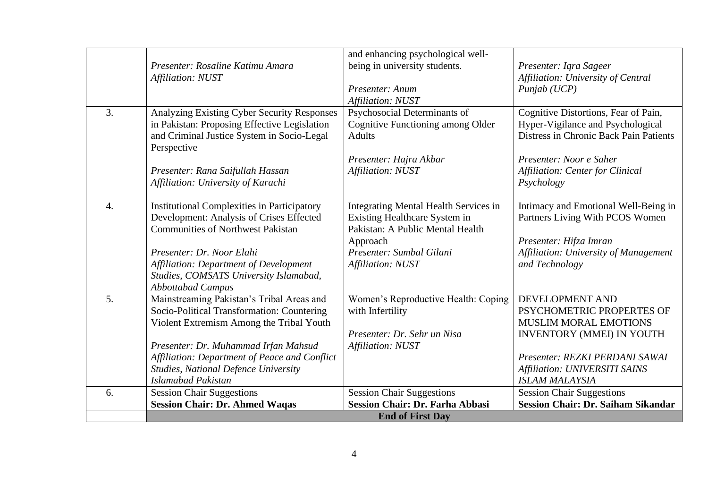| 3.<br>Analyzing Existing Cyber Security Responses<br>Psychosocial Determinants of<br>in Pakistan: Proposing Effective Legislation<br>Cognitive Functioning among Older<br>and Criminal Justice System in Socio-Legal<br><b>Adults</b>                                                                                                                                                                                                                                                              | Cognitive Distortions, Fear of Pain,                                                                                                                                                                  |
|----------------------------------------------------------------------------------------------------------------------------------------------------------------------------------------------------------------------------------------------------------------------------------------------------------------------------------------------------------------------------------------------------------------------------------------------------------------------------------------------------|-------------------------------------------------------------------------------------------------------------------------------------------------------------------------------------------------------|
| Perspective<br>Presenter: Hajra Akbar<br>Affiliation: NUST<br>Presenter: Rana Saifullah Hassan<br>Affiliation: University of Karachi                                                                                                                                                                                                                                                                                                                                                               | Hyper-Vigilance and Psychological<br>Distress in Chronic Back Pain Patients<br>Presenter: Noor e Saher<br><b>Affiliation: Center for Clinical</b><br>Psychology                                       |
| <b>Institutional Complexities in Participatory</b><br><b>Integrating Mental Health Services in</b><br>$\mathcal{A}_{\cdot}$<br>Development: Analysis of Crises Effected<br>Existing Healthcare System in<br><b>Communities of Northwest Pakistan</b><br>Pakistan: A Public Mental Health<br>Approach<br>Presenter: Dr. Noor Elahi<br>Presenter: Sumbal Gilani<br>Affiliation: Department of Development<br>Affiliation: NUST<br>Studies, COMSATS University Islamabad,<br><b>Abbottabad Campus</b> | Intimacy and Emotional Well-Being in<br>Partners Living With PCOS Women<br>Presenter: Hifza Imran<br>Affiliation: University of Management<br>and Technology                                          |
| 5.<br>Mainstreaming Pakistan's Tribal Areas and<br>Women's Reproductive Health: Coping<br>Socio-Political Transformation: Countering<br>with Infertility<br>Violent Extremism Among the Tribal Youth<br>Presenter: Dr. Sehr un Nisa<br>Presenter: Dr. Muhammad Irfan Mahsud<br>Affiliation: NUST<br>Affiliation: Department of Peace and Conflict<br>Studies, National Defence University<br>Islamabad Pakistan                                                                                    | DEVELOPMENT AND<br>PSYCHOMETRIC PROPERTES OF<br>MUSLIM MORAL EMOTIONS<br>INVENTORY (MMEI) IN YOUTH<br>Presenter: REZKI PERDANI SAWAI<br><b>Affiliation: UNIVERSITI SAINS</b><br><b>ISLAM MALAYSIA</b> |
| <b>Session Chair Suggestions</b><br><b>Session Chair Suggestions</b><br>6.                                                                                                                                                                                                                                                                                                                                                                                                                         | <b>Session Chair Suggestions</b>                                                                                                                                                                      |
| <b>Session Chair: Dr. Ahmed Waqas</b><br><b>Session Chair: Dr. Farha Abbasi</b><br><b>End of First Day</b>                                                                                                                                                                                                                                                                                                                                                                                         | <b>Session Chair: Dr. Saiham Sikandar</b>                                                                                                                                                             |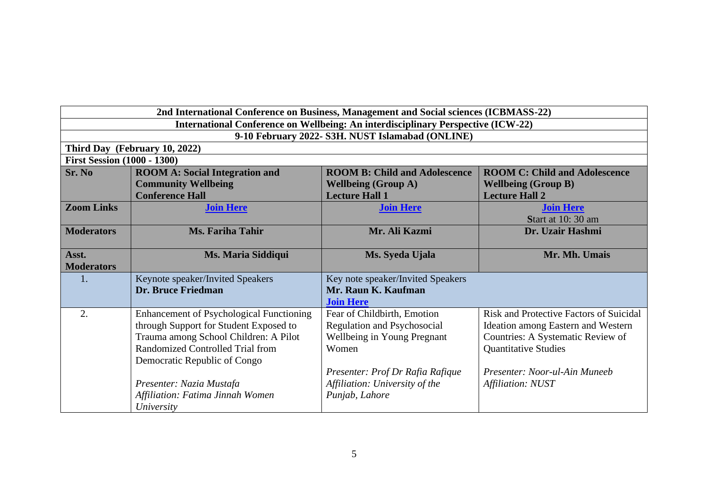|                                                                                  | 2nd International Conference on Business, Management and Social sciences (ICBMASS-22) |                                      |                                                |  |  |
|----------------------------------------------------------------------------------|---------------------------------------------------------------------------------------|--------------------------------------|------------------------------------------------|--|--|
| International Conference on Wellbeing: An interdisciplinary Perspective (ICW-22) |                                                                                       |                                      |                                                |  |  |
| 9-10 February 2022- S3H. NUST Islamabad (ONLINE)                                 |                                                                                       |                                      |                                                |  |  |
|                                                                                  | Third Day (February 10, 2022)                                                         |                                      |                                                |  |  |
|                                                                                  | <b>First Session (1000 - 1300)</b>                                                    |                                      |                                                |  |  |
| Sr. No                                                                           | <b>ROOM A: Social Integration and</b>                                                 | <b>ROOM B: Child and Adolescence</b> | <b>ROOM C: Child and Adolescence</b>           |  |  |
|                                                                                  | <b>Community Wellbeing</b>                                                            | <b>Wellbeing (Group A)</b>           | <b>Wellbeing (Group B)</b>                     |  |  |
|                                                                                  | <b>Conference Hall</b>                                                                | <b>Lecture Hall 1</b>                | <b>Lecture Hall 2</b>                          |  |  |
| <b>Zoom Links</b>                                                                | <b>Join Here</b>                                                                      | <b>Join Here</b>                     | <b>Join Here</b>                               |  |  |
|                                                                                  |                                                                                       |                                      | Start at 10:30 am                              |  |  |
| <b>Moderators</b>                                                                | <b>Ms. Fariha Tahir</b>                                                               | Mr. Ali Kazmi                        | Dr. Uzair Hashmi                               |  |  |
|                                                                                  |                                                                                       |                                      |                                                |  |  |
| Asst.                                                                            | Ms. Maria Siddiqui                                                                    | Ms. Syeda Ujala                      | Mr. Mh. Umais                                  |  |  |
| <b>Moderators</b>                                                                |                                                                                       |                                      |                                                |  |  |
| 1.                                                                               | Keynote speaker/Invited Speakers                                                      | Key note speaker/Invited Speakers    |                                                |  |  |
|                                                                                  | Dr. Bruce Friedman                                                                    | Mr. Raun K. Kaufman                  |                                                |  |  |
|                                                                                  |                                                                                       | <b>Join Here</b>                     |                                                |  |  |
| 2.                                                                               | Enhancement of Psychological Functioning                                              | Fear of Childbirth, Emotion          | <b>Risk and Protective Factors of Suicidal</b> |  |  |
|                                                                                  | through Support for Student Exposed to                                                | Regulation and Psychosocial          | Ideation among Eastern and Western             |  |  |
|                                                                                  | Trauma among School Children: A Pilot                                                 | Wellbeing in Young Pregnant          | Countries: A Systematic Review of              |  |  |
|                                                                                  | Randomized Controlled Trial from                                                      | Women                                | <b>Quantitative Studies</b>                    |  |  |
|                                                                                  | Democratic Republic of Congo                                                          |                                      |                                                |  |  |
|                                                                                  |                                                                                       | Presenter: Prof Dr Rafia Rafique     | Presenter: Noor-ul-Ain Muneeb                  |  |  |
|                                                                                  | Presenter: Nazia Mustafa                                                              | Affiliation: University of the       | Affiliation: NUST                              |  |  |
|                                                                                  | Affiliation: Fatima Jinnah Women                                                      | Punjab, Lahore                       |                                                |  |  |
|                                                                                  | University                                                                            |                                      |                                                |  |  |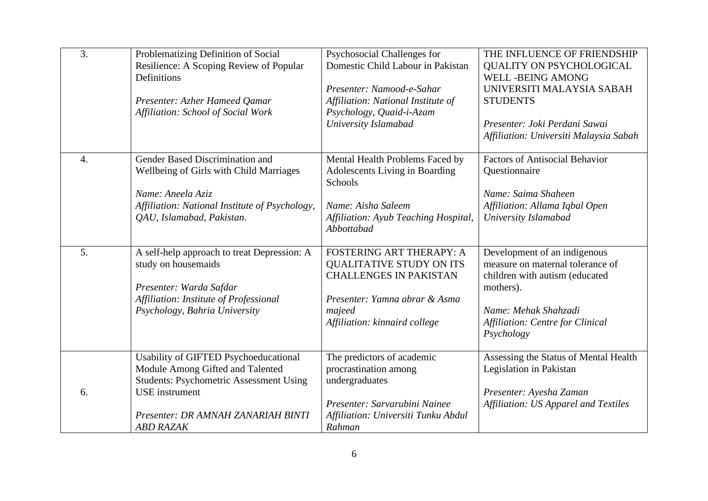| 3.               | Problematizing Definition of Social<br>Resilience: A Scoping Review of Popular<br>Definitions<br>Presenter: Azher Hameed Qamar<br>Affiliation: School of Social Work                                           | Psychosocial Challenges for<br>Domestic Child Labour in Pakistan<br>Presenter: Namood-e-Sahar<br>Affiliation: National Institute of<br>Psychology, Quaid-i-Azam<br>University Islamabad | THE INFLUENCE OF FRIENDSHIP<br>QUALITY ON PSYCHOLOGICAL<br><b>WELL-BEING AMONG</b><br>UNIVERSITI MALAYSIA SABAH<br><b>STUDENTS</b><br>Presenter: Joki Perdani Sawai<br>Affiliation: Universiti Malaysia Sabah |
|------------------|----------------------------------------------------------------------------------------------------------------------------------------------------------------------------------------------------------------|-----------------------------------------------------------------------------------------------------------------------------------------------------------------------------------------|---------------------------------------------------------------------------------------------------------------------------------------------------------------------------------------------------------------|
| $\overline{4}$ . | Gender Based Discrimination and<br>Wellbeing of Girls with Child Marriages<br>Name: Aneela Aziz<br>Affiliation: National Institute of Psychology,<br>OAU, Islamabad, Pakistan.                                 | Mental Health Problems Faced by<br>Adolescents Living in Boarding<br>Schools<br>Name: Aisha Saleem<br>Affiliation: Ayub Teaching Hospital,<br>Abbottabad                                | <b>Factors of Antisocial Behavior</b><br>Questionnaire<br>Name: Saima Shaheen<br>Affiliation: Allama Iqbal Open<br>University Islamabad                                                                       |
| 5 <sub>1</sub>   | A self-help approach to treat Depression: A<br>study on housemaids<br>Presenter: Warda Safdar<br>Affiliation: Institute of Professional<br>Psychology, Bahria University                                       | <b>FOSTERING ART THERAPY: A</b><br><b>QUALITATIVE STUDY ON ITS</b><br><b>CHALLENGES IN PAKISTAN</b><br>Presenter: Yamna abrar & Asma<br>majeed<br>Affiliation: kinnaird college         | Development of an indigenous<br>measure on maternal tolerance of<br>children with autism (educated<br>mothers).<br>Name: Mehak Shahzadi<br>Affiliation: Centre for Clinical<br>Psychology                     |
| 6.               | Usability of GIFTED Psychoeducational<br>Module Among Gifted and Talented<br><b>Students: Psychometric Assessment Using</b><br><b>USE</b> instrument<br>Presenter: DR AMNAH ZANARIAH BINTI<br><b>ABD RAZAK</b> | The predictors of academic<br>procrastination among<br>undergraduates<br>Presenter: Sarvarubini Nainee<br>Affiliation: Universiti Tunku Abdul<br>Rahman                                 | Assessing the Status of Mental Health<br>Legislation in Pakistan<br>Presenter: Ayesha Zaman<br>Affiliation: US Apparel and Textiles                                                                           |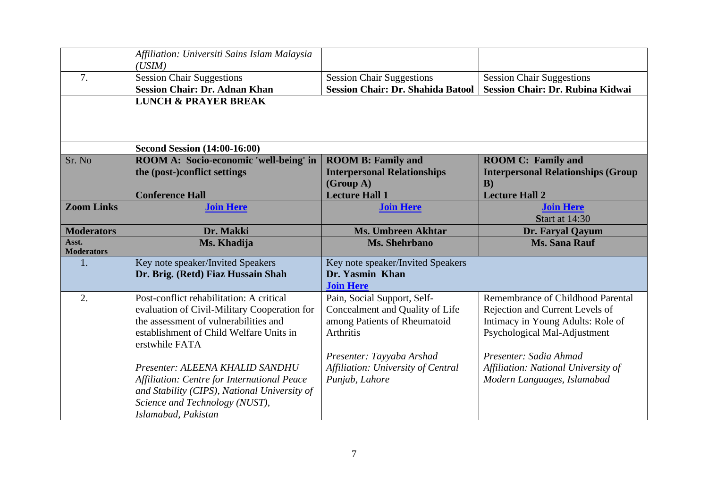|                            | Affiliation: Universiti Sains Islam Malaysia<br>(USIM)    |                                          |                                           |
|----------------------------|-----------------------------------------------------------|------------------------------------------|-------------------------------------------|
| 7.                         | <b>Session Chair Suggestions</b>                          | <b>Session Chair Suggestions</b>         | <b>Session Chair Suggestions</b>          |
|                            | <b>Session Chair: Dr. Adnan Khan</b>                      | <b>Session Chair: Dr. Shahida Batool</b> | <b>Session Chair: Dr. Rubina Kidwai</b>   |
|                            | <b>LUNCH &amp; PRAYER BREAK</b>                           |                                          |                                           |
|                            | <b>Second Session (14:00-16:00)</b>                       |                                          |                                           |
| Sr. No                     | ROOM A: Socio-economic 'well-being' in                    | <b>ROOM B: Family and</b>                | <b>ROOM C: Family and</b>                 |
|                            | the (post-)conflict settings                              | <b>Interpersonal Relationships</b>       | <b>Interpersonal Relationships (Group</b> |
|                            |                                                           | (Group A)                                | $\bf{B}$                                  |
|                            | <b>Conference Hall</b>                                    | <b>Lecture Hall 1</b>                    | <b>Lecture Hall 2</b>                     |
| <b>Zoom Links</b>          | <b>Join Here</b>                                          | <b>Join Here</b>                         | <b>Join Here</b>                          |
|                            |                                                           |                                          | <b>Start at 14:30</b>                     |
| <b>Moderators</b>          | Dr. Makki                                                 | <b>Ms. Umbreen Akhtar</b>                | Dr. Faryal Qayum                          |
| Asst.<br><b>Moderators</b> | Ms. Khadija                                               | <b>Ms. Shehrbano</b>                     | <b>Ms. Sana Rauf</b>                      |
| 1.                         | Key note speaker/Invited Speakers                         | Key note speaker/Invited Speakers        |                                           |
|                            | Dr. Brig. (Retd) Fiaz Hussain Shah                        | Dr. Yasmin Khan                          |                                           |
|                            |                                                           | <b>Join Here</b>                         |                                           |
| 2.                         | Post-conflict rehabilitation: A critical                  | Pain, Social Support, Self-              | Remembrance of Childhood Parental         |
|                            | evaluation of Civil-Military Cooperation for              | Concealment and Quality of Life          | Rejection and Current Levels of           |
|                            | the assessment of vulnerabilities and                     | among Patients of Rheumatoid             | Intimacy in Young Adults: Role of         |
|                            | establishment of Child Welfare Units in<br>erstwhile FATA | Arthritis                                | Psychological Mal-Adjustment              |
|                            |                                                           | Presenter: Tayyaba Arshad                | Presenter: Sadia Ahmad                    |
|                            | Presenter: ALEENA KHALID SANDHU                           | Affiliation: University of Central       | Affiliation: National University of       |
|                            | Affiliation: Centre for International Peace               | Punjab, Lahore                           | Modern Languages, Islamabad               |
|                            | and Stability (CIPS), National University of              |                                          |                                           |
|                            | Science and Technology (NUST),                            |                                          |                                           |
|                            | Islamabad, Pakistan                                       |                                          |                                           |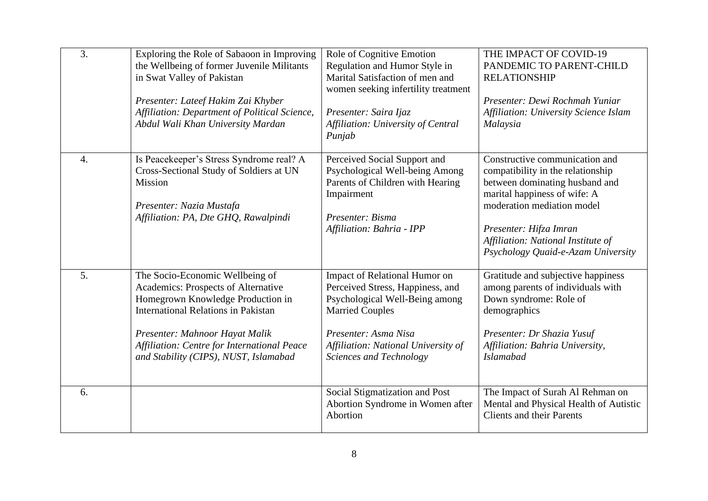| 3.               | Exploring the Role of Sabaoon in Improving<br>the Wellbeing of former Juvenile Militants<br>in Swat Valley of Pakistan<br>Presenter: Lateef Hakim Zai Khyber<br>Affiliation: Department of Political Science,<br>Abdul Wali Khan University Mardan                                  | Role of Cognitive Emotion<br>Regulation and Humor Style in<br>Marital Satisfaction of men and<br>women seeking infertility treatment<br>Presenter: Saira Ijaz<br>Affiliation: University of Central<br>Punjab           | THE IMPACT OF COVID-19<br>PANDEMIC TO PARENT-CHILD<br><b>RELATIONSHIP</b><br>Presenter: Dewi Rochmah Yuniar<br>Affiliation: University Science Islam<br>Malaysia                                                                                                          |
|------------------|-------------------------------------------------------------------------------------------------------------------------------------------------------------------------------------------------------------------------------------------------------------------------------------|-------------------------------------------------------------------------------------------------------------------------------------------------------------------------------------------------------------------------|---------------------------------------------------------------------------------------------------------------------------------------------------------------------------------------------------------------------------------------------------------------------------|
| $\overline{4}$ . | Is Peacekeeper's Stress Syndrome real? A<br>Cross-Sectional Study of Soldiers at UN<br><b>Mission</b><br>Presenter: Nazia Mustafa<br>Affiliation: PA, Dte GHQ, Rawalpindi                                                                                                           | Perceived Social Support and<br>Psychological Well-being Among<br>Parents of Children with Hearing<br>Impairment<br>Presenter: Bisma<br>Affiliation: Bahria - IPP                                                       | Constructive communication and<br>compatibility in the relationship<br>between dominating husband and<br>marital happiness of wife: A<br>moderation mediation model<br>Presenter: Hifza Imran<br>Affiliation: National Institute of<br>Psychology Quaid-e-Azam University |
| 5 <sub>1</sub>   | The Socio-Economic Wellbeing of<br>Academics: Prospects of Alternative<br>Homegrown Knowledge Production in<br><b>International Relations in Pakistan</b><br>Presenter: Mahnoor Hayat Malik<br>Affiliation: Centre for International Peace<br>and Stability (CIPS), NUST, Islamabad | Impact of Relational Humor on<br>Perceived Stress, Happiness, and<br>Psychological Well-Being among<br><b>Married Couples</b><br>Presenter: Asma Nisa<br>Affiliation: National University of<br>Sciences and Technology | Gratitude and subjective happiness<br>among parents of individuals with<br>Down syndrome: Role of<br>demographics<br>Presenter: Dr Shazia Yusuf<br>Affiliation: Bahria University,<br><b>Islamabad</b>                                                                    |
| 6.               |                                                                                                                                                                                                                                                                                     | Social Stigmatization and Post<br>Abortion Syndrome in Women after<br>Abortion                                                                                                                                          | The Impact of Surah Al Rehman on<br>Mental and Physical Health of Autistic<br><b>Clients and their Parents</b>                                                                                                                                                            |